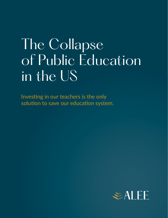# The Collapse of Public Education in the US

Investing in our teachers is the only solution to save our education system.

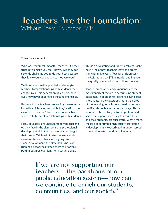#### Teachers Are the Foundation: Without Them, Education Fails

#### **Think for a moment…**

Who was your most impactful teacher? Did their trust in you make you feel known? Did they consistently challenge you to do your best because they knew you well enough to motivate you?

Well-prepared, well-supported, and energized teachers form relationships with students that change lives. This generation of learners, however, may never experience those relationships.

Because today, teachers are leaving classrooms at incredibly high rates; and while they're still in the classroom, they don't have the emotional bandwidth to fully invest in relationships with students.

Many educators are unprepared for the challenges they face in the classroom, and professional development all but stops once teachers begin their career. While administrators are acutely aware of the importance of ongoing professional development, the difficult business of running a school has forced them to prioritize putting out fires over long-term sustainability.

This is a devastating and urgent problem. Right now, 44% of new teachers leave the profession within five years. Teacher attrition costs the U.S. more than  $$7B$  annually<sup>1</sup> and impacts the quality of education our children receive.

Teacher preparation and experience are the most important factors in determining student outcomes. In addition to teachers leaving after short stints in the classroom, more than 25% of the teaching force is uncertified or became certified through alternative pathways. Those who have chosen to go into the profession deserve the support necessary to ensure they, and their students, are successful. What's more, the lack of continued high-quality professional development is exacerbated in under-served communities—further driving inequity.

If we are not supporting our teachers—the backbone of our public education system—how can we continue to enrich our students, communities, and our society?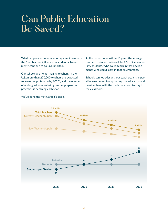## Can Public Education Be Saved?

What happens to our education system if teachers, the "number one influence on student achievement," continue to go unsupported?

Our schools are hemorrhaging teachers. In the U.S., more than 270,000 teachers are expected to leave the profession by  $2026<sup>2</sup>$ , and the number of undergraduates entering teacher preparation programs is declining each year.

At the current rate, within 15 years the average teacher-to-student ratio will be 1:50. One teacher. Fifty students. Who could teach in that environment? Who could learn in that environment?

Schools cannot exist without teachers. It is imperative we commit to supporting our educators and provide them with the tools they need to stay in the classroom.



We've done the math, and it's bleak.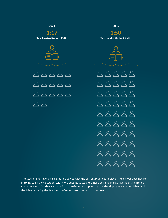

The teacher shortage crisis cannot be solved with the current practices in place. The answer does not lie in trying to fill the classroom with more substitute teachers, nor does it lie in placing students in front of computers with "student-led" curricula. It relies on us supporting and developing our existing talent and the talent entering the teaching profession. We have work to do now.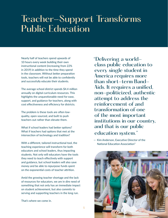## Teacher-Support Transforms Public Education

Nearly half of teachers spend upwards of 10 hours every week building their own instructional content (increasing from 22% in 2019) in addition to the time they spend in the classroom. Without better preparation tools, teachers will not be able to confidently and successfully educate their students.

The average school district spends \$4.4 million annually on digital curriculum resources. This highlights the unquestionable need for ease, support, and guidance for teachers, along with cost effectiveness and efficiency for districts.

The problem is these tools are often lowquality, open-sourced, and built to push teachers out rather than elevate them.

What if school leaders had better options? What if teachers had options that met at the intersection of technology and tradition?

With a different, tailored instructional tool, the teaching experience will transform for both educators and school leaders, thus impacting students. Not only will educators have the tools they need to teach effectively with support and guidance, but school leaders will also save money and be able to repurpose funds spent on the exponential costs of teacher attrition.

Amid the growing teacher shortage and the lack of resources for educators, we are in dire need of something that not only has an immediate impact on student achievement, but also commits to serving and supporting teachers in the long run.

That's where we come in.

"Delivering a worldclass public education to every single student in America requires more than short-term Band-Aids. It requires a unified, non-politicized, authentic attempt to address the reinforcement of and transformation of one of the most important institutions in our country, and that is our public education system."

— Kim Anderson, Executive Director of the National Education Association3

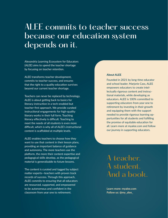### ALEE commits to teacher success because our education system depends on it.

Alexandria Learning Ecosystem for Educators (ALEE) aims to upend the teacher shortage by focusing on teacher retention.

ALEE transforms teacher development, commits to teacher success, and ensures that the right to a quality education survives beyond our current teacher shortage.

Teachers can never be replaced by technology. ALEE is about getting back to basics for literacy instruction in a tech-enabled but teacher-first approach. We provide curated instructional engagements for high-quality literary works in their full form. Teaching literacy effectively is difficult. Teaching to meet the needs of all students is even more difficult, which is why all of ALEE's instructional content is scaffolded at multiple levels.

ALEE enables teachers to choose how they want to use that content in their lesson plans, providing an important balance of guidance and autonomy. The more teachers use the platform, the more their content expertise and pedagogical skills develop, as the pedagogical material is generalizable to future lessons.

The content is curated and tagged by subject matter experts—teachers with proven track records of success. Through this approach, ALEE commits to ensuring that all educators are resourced, supported, and empowered to be autonomous and confident in the classroom from year one to retirement.

#### **About ALEE**

Founded in 2021 by long-time educator and school leader, Marjorie Cass, ALEE empowers educators to create intellectually rigorous content and instructional materials, while developing as educators. ALEE is 100% committed to supporting educators from year one to retirement by investing in their growth and equipping them with the support needed to provide rigorous learning opportunities for all students and fulfilling the promise of equitable education for all. Learn more at myalee.com and follow our journey in supporting educators.

A teacher. A student. And a book.

**Learn more: myalee.com Follow us: @my\_alee\_**